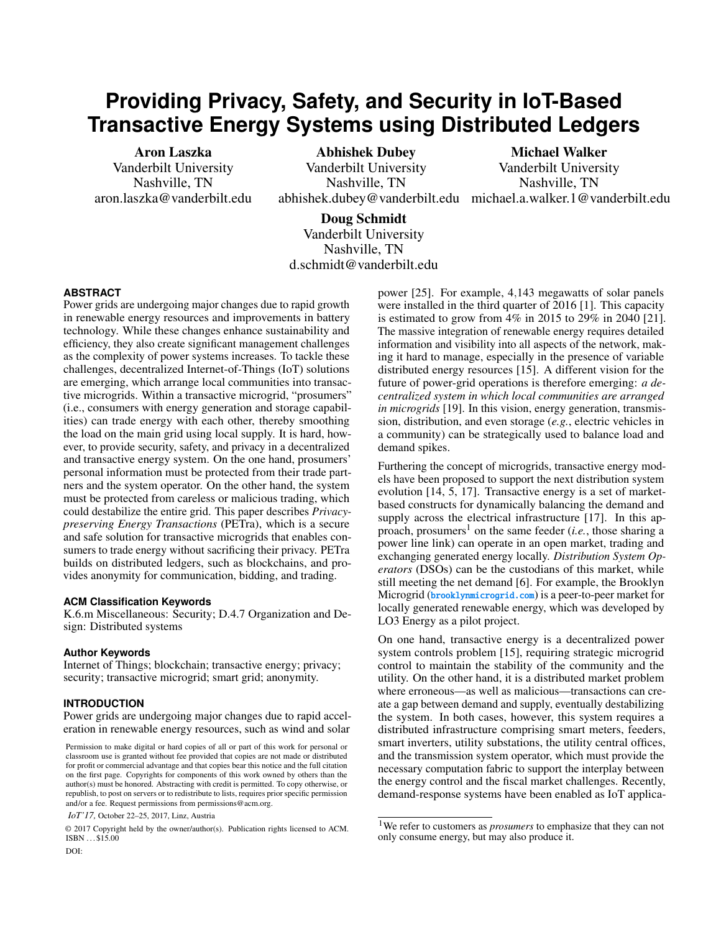# **Providing Privacy, Safety, and Security in IoT-Based Transactive Energy Systems using Distributed Ledgers**

Aron Laszka Vanderbilt University Nashville, TN aron.laszka@vanderbilt.edu

Abhishek Dubey Vanderbilt University Nashville, TN

abhishek.dubey@vanderbilt.edu michael.a.walker.1@vanderbilt.edu Michael Walker Vanderbilt University Nashville, TN

Doug Schmidt Vanderbilt University Nashville, TN d.schmidt@vanderbilt.edu

# **ABSTRACT**

Power grids are undergoing major changes due to rapid growth in renewable energy resources and improvements in battery technology. While these changes enhance sustainability and efficiency, they also create significant management challenges as the complexity of power systems increases. To tackle these challenges, decentralized Internet-of-Things (IoT) solutions are emerging, which arrange local communities into transactive microgrids. Within a transactive microgrid, "prosumers" (i.e., consumers with energy generation and storage capabilities) can trade energy with each other, thereby smoothing the load on the main grid using local supply. It is hard, however, to provide security, safety, and privacy in a decentralized and transactive energy system. On the one hand, prosumers' personal information must be protected from their trade partners and the system operator. On the other hand, the system must be protected from careless or malicious trading, which could destabilize the entire grid. This paper describes *Privacypreserving Energy Transactions* (PETra), which is a secure and safe solution for transactive microgrids that enables consumers to trade energy without sacrificing their privacy. PETra builds on distributed ledgers, such as blockchains, and provides anonymity for communication, bidding, and trading.

## **ACM Classification Keywords**

K.6.m Miscellaneous: Security; D.4.7 Organization and Design: Distributed systems

#### **Author Keywords**

Internet of Things; blockchain; transactive energy; privacy; security; transactive microgrid; smart grid; anonymity.

## **INTRODUCTION**

DOI:

Power grids are undergoing major changes due to rapid acceleration in renewable energy resources, such as wind and solar

*IoT'17,* October 22–25, 2017, Linz, Austria

© 2017 Copyright held by the owner/author(s). Publication rights licensed to ACM. ISBN . . . \$15.00

power [\[25\]](#page-8-0). For example, 4,143 megawatts of solar panels were installed in the third quarter of 2016 [\[1\]](#page-7-0). This capacity is estimated to grow from  $4\%$  in 2015 to 29% in 2040 [\[21\]](#page-7-1). The massive integration of renewable energy requires detailed information and visibility into all aspects of the network, making it hard to manage, especially in the presence of variable distributed energy resources [\[15\]](#page-7-2). A different vision for the future of power-grid operations is therefore emerging: *a decentralized system in which local communities are arranged in microgrids* [\[19\]](#page-7-3). In this vision, energy generation, transmission, distribution, and even storage (*e.g.*, electric vehicles in a community) can be strategically used to balance load and demand spikes.

Furthering the concept of microgrids, transactive energy models have been proposed to support the next distribution system evolution [\[14,](#page-7-4) [5,](#page-7-5) [17\]](#page-7-6). Transactive energy is a set of marketbased constructs for dynamically balancing the demand and supply across the electrical infrastructure [\[17\]](#page-7-6). In this ap-proach, prosumers<sup>[1](#page-0-0)</sup> on the same feeder  $(i.e.,$  those sharing a power line link) can operate in an open market, trading and exchanging generated energy locally. *Distribution System Operators* (DSOs) can be the custodians of this market, while still meeting the net demand [\[6\]](#page-7-7). For example, the Brooklyn Microgrid (<brooklynmicrogrid.com>) is a peer-to-peer market for locally generated renewable energy, which was developed by LO3 Energy as a pilot project.

On one hand, transactive energy is a decentralized power system controls problem [\[15\]](#page-7-2), requiring strategic microgrid control to maintain the stability of the community and the utility. On the other hand, it is a distributed market problem where erroneous—as well as malicious—transactions can create a gap between demand and supply, eventually destabilizing the system. In both cases, however, this system requires a distributed infrastructure comprising smart meters, feeders, smart inverters, utility substations, the utility central offices, and the transmission system operator, which must provide the necessary computation fabric to support the interplay between the energy control and the fiscal market challenges. Recently, demand-response systems have been enabled as IoT applica-

Permission to make digital or hard copies of all or part of this work for personal or classroom use is granted without fee provided that copies are not made or distributed for profit or commercial advantage and that copies bear this notice and the full citation on the first page. Copyrights for components of this work owned by others than the author(s) must be honored. Abstracting with credit is permitted. To copy otherwise, or republish, to post on servers or to redistribute to lists, requires prior specific permission and/or a fee. Request permissions from permissions@acm.org.

<span id="page-0-0"></span><sup>1</sup>We refer to customers as *prosumers* to emphasize that they can not only consume energy, but may also produce it.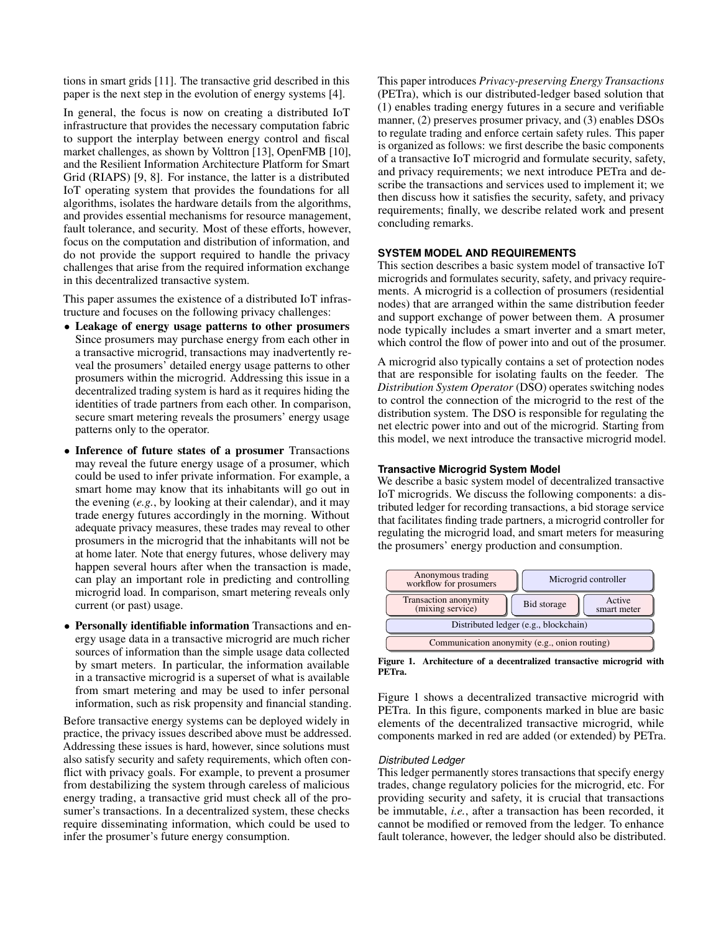tions in smart grids [\[11\]](#page-7-8). The transactive grid described in this paper is the next step in the evolution of energy systems [\[4\]](#page-7-9).

In general, the focus is now on creating a distributed IoT infrastructure that provides the necessary computation fabric to support the interplay between energy control and fiscal market challenges, as shown by Volttron [\[13\]](#page-7-10), OpenFMB [\[10\]](#page-7-11), and the Resilient Information Architecture Platform for Smart Grid (RIAPS) [\[9,](#page-7-12) [8\]](#page-7-13). For instance, the latter is a distributed IoT operating system that provides the foundations for all algorithms, isolates the hardware details from the algorithms, and provides essential mechanisms for resource management, fault tolerance, and security. Most of these efforts, however, focus on the computation and distribution of information, and do not provide the support required to handle the privacy challenges that arise from the required information exchange in this decentralized transactive system.

This paper assumes the existence of a distributed IoT infrastructure and focuses on the following privacy challenges:

- Leakage of energy usage patterns to other prosumers Since prosumers may purchase energy from each other in a transactive microgrid, transactions may inadvertently reveal the prosumers' detailed energy usage patterns to other prosumers within the microgrid. Addressing this issue in a decentralized trading system is hard as it requires hiding the identities of trade partners from each other. In comparison, secure smart metering reveals the prosumers' energy usage patterns only to the operator.
- Inference of future states of a prosumer Transactions may reveal the future energy usage of a prosumer, which could be used to infer private information. For example, a smart home may know that its inhabitants will go out in the evening (*e.g.*, by looking at their calendar), and it may trade energy futures accordingly in the morning. Without adequate privacy measures, these trades may reveal to other prosumers in the microgrid that the inhabitants will not be at home later. Note that energy futures, whose delivery may happen several hours after when the transaction is made, can play an important role in predicting and controlling microgrid load. In comparison, smart metering reveals only current (or past) usage.
- Personally identifiable information Transactions and energy usage data in a transactive microgrid are much richer sources of information than the simple usage data collected by smart meters. In particular, the information available in a transactive microgrid is a superset of what is available from smart metering and may be used to infer personal information, such as risk propensity and financial standing.

Before transactive energy systems can be deployed widely in practice, the privacy issues described above must be addressed. Addressing these issues is hard, however, since solutions must also satisfy security and safety requirements, which often conflict with privacy goals. For example, to prevent a prosumer from destabilizing the system through careless of malicious energy trading, a transactive grid must check all of the prosumer's transactions. In a decentralized system, these checks require disseminating information, which could be used to infer the prosumer's future energy consumption.

This paper introduces *Privacy-preserving Energy Transactions* (PETra), which is our distributed-ledger based solution that (1) enables trading energy futures in a secure and verifiable manner, (2) preserves prosumer privacy, and (3) enables DSOs to regulate trading and enforce certain safety rules. This paper is organized as follows: we first describe the basic components of a transactive IoT microgrid and formulate security, safety, and privacy requirements; we next introduce PETra and describe the transactions and services used to implement it; we then discuss how it satisfies the security, safety, and privacy requirements; finally, we describe related work and present concluding remarks.

# **SYSTEM MODEL AND REQUIREMENTS**

This section describes a basic system model of transactive IoT microgrids and formulates security, safety, and privacy requirements. A microgrid is a collection of prosumers (residential nodes) that are arranged within the same distribution feeder and support exchange of power between them. A prosumer node typically includes a smart inverter and a smart meter, which control the flow of power into and out of the prosumer.

A microgrid also typically contains a set of protection nodes that are responsible for isolating faults on the feeder. The *Distribution System Operator* (DSO) operates switching nodes to control the connection of the microgrid to the rest of the distribution system. The DSO is responsible for regulating the net electric power into and out of the microgrid. Starting from this model, we next introduce the transactive microgrid model.

## **Transactive Microgrid System Model**

We describe a basic system model of decentralized transactive IoT microgrids. We discuss the following components: a distributed ledger for recording transactions, a bid storage service that facilitates finding trade partners, a microgrid controller for regulating the microgrid load, and smart meters for measuring the prosumers' energy production and consumption.



<span id="page-1-0"></span>Figure 1. Architecture of a decentralized transactive microgrid with PETra.

Figure [1](#page-1-0) shows a decentralized transactive microgrid with PETra. In this figure, components marked in blue are basic elements of the decentralized transactive microgrid, while components marked in red are added (or extended) by PETra.

#### *Distributed Ledger*

This ledger permanently stores transactions that specify energy trades, change regulatory policies for the microgrid, etc. For providing security and safety, it is crucial that transactions be immutable, *i.e.*, after a transaction has been recorded, it cannot be modified or removed from the ledger. To enhance fault tolerance, however, the ledger should also be distributed.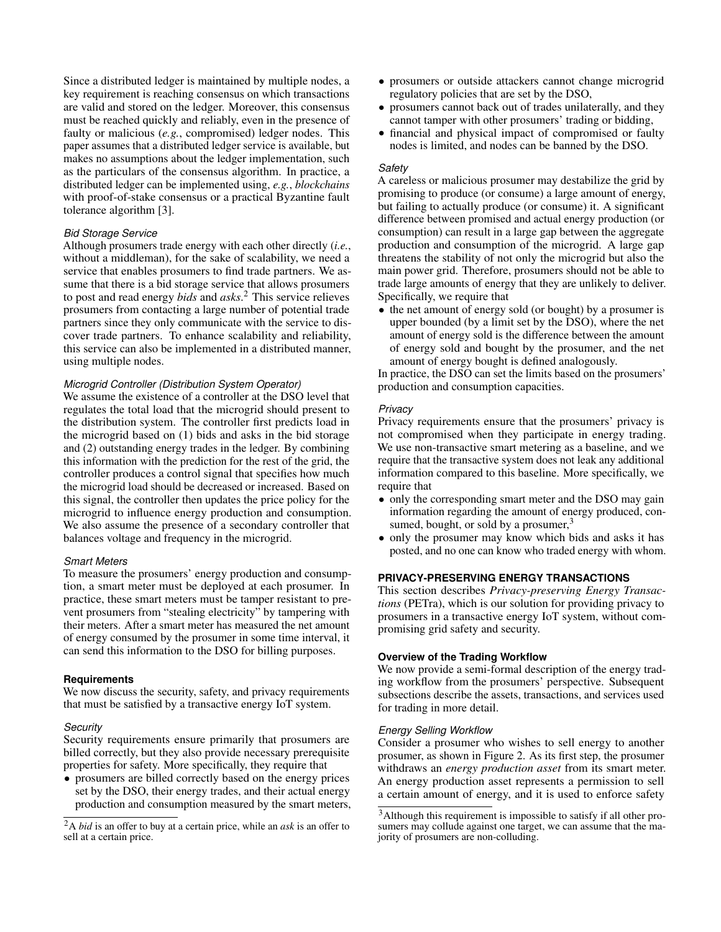Since a distributed ledger is maintained by multiple nodes, a key requirement is reaching consensus on which transactions are valid and stored on the ledger. Moreover, this consensus must be reached quickly and reliably, even in the presence of faulty or malicious (*e.g.*, compromised) ledger nodes. This paper assumes that a distributed ledger service is available, but makes no assumptions about the ledger implementation, such as the particulars of the consensus algorithm. In practice, a distributed ledger can be implemented using, *e.g.*, *blockchains* with proof-of-stake consensus or a practical Byzantine fault tolerance algorithm [\[3\]](#page-7-14).

## *Bid Storage Service*

Although prosumers trade energy with each other directly (*i.e.*, without a middleman), for the sake of scalability, we need a service that enables prosumers to find trade partners. We assume that there is a bid storage service that allows prosumers to post and read energy *bids* and *asks*. [2](#page-2-0) This service relieves prosumers from contacting a large number of potential trade partners since they only communicate with the service to discover trade partners. To enhance scalability and reliability, this service can also be implemented in a distributed manner, using multiple nodes.

#### *Microgrid Controller (Distribution System Operator)*

We assume the existence of a controller at the DSO level that regulates the total load that the microgrid should present to the distribution system. The controller first predicts load in the microgrid based on (1) bids and asks in the bid storage and (2) outstanding energy trades in the ledger. By combining this information with the prediction for the rest of the grid, the controller produces a control signal that specifies how much the microgrid load should be decreased or increased. Based on this signal, the controller then updates the price policy for the microgrid to influence energy production and consumption. We also assume the presence of a secondary controller that balances voltage and frequency in the microgrid.

#### *Smart Meters*

To measure the prosumers' energy production and consumption, a smart meter must be deployed at each prosumer. In practice, these smart meters must be tamper resistant to prevent prosumers from "stealing electricity" by tampering with their meters. After a smart meter has measured the net amount of energy consumed by the prosumer in some time interval, it can send this information to the DSO for billing purposes.

#### **Requirements**

We now discuss the security, safety, and privacy requirements that must be satisfied by a transactive energy IoT system.

#### *Security*

Security requirements ensure primarily that prosumers are billed correctly, but they also provide necessary prerequisite properties for safety. More specifically, they require that

• prosumers are billed correctly based on the energy prices set by the DSO, their energy trades, and their actual energy production and consumption measured by the smart meters,

- prosumers or outside attackers cannot change microgrid regulatory policies that are set by the DSO,
- prosumers cannot back out of trades unilaterally, and they cannot tamper with other prosumers' trading or bidding,
- financial and physical impact of compromised or faulty nodes is limited, and nodes can be banned by the DSO.

#### *Safety*

A careless or malicious prosumer may destabilize the grid by promising to produce (or consume) a large amount of energy, but failing to actually produce (or consume) it. A significant difference between promised and actual energy production (or consumption) can result in a large gap between the aggregate production and consumption of the microgrid. A large gap threatens the stability of not only the microgrid but also the main power grid. Therefore, prosumers should not be able to trade large amounts of energy that they are unlikely to deliver. Specifically, we require that

• the net amount of energy sold (or bought) by a prosumer is upper bounded (by a limit set by the DSO), where the net amount of energy sold is the difference between the amount of energy sold and bought by the prosumer, and the net amount of energy bought is defined analogously.

In practice, the DSO can set the limits based on the prosumers' production and consumption capacities.

#### *Privacy*

Privacy requirements ensure that the prosumers' privacy is not compromised when they participate in energy trading. We use non-transactive smart metering as a baseline, and we require that the transactive system does not leak any additional information compared to this baseline. More specifically, we require that

- only the corresponding smart meter and the DSO may gain information regarding the amount of energy produced, consumed, bought, or sold by a prosumer, $3$
- only the prosumer may know which bids and asks it has posted, and no one can know who traded energy with whom.

# **PRIVACY-PRESERVING ENERGY TRANSACTIONS**

This section describes *Privacy-preserving Energy Transactions* (PETra), which is our solution for providing privacy to prosumers in a transactive energy IoT system, without compromising grid safety and security.

#### **Overview of the Trading Workflow**

We now provide a semi-formal description of the energy trading workflow from the prosumers' perspective. Subsequent subsections describe the assets, transactions, and services used for trading in more detail.

#### *Energy Selling Workflow*

Consider a prosumer who wishes to sell energy to another prosumer, as shown in Figure [2.](#page-3-0) As its first step, the prosumer withdraws an *energy production asset* from its smart meter. An energy production asset represents a permission to sell a certain amount of energy, and it is used to enforce safety

<span id="page-2-0"></span><sup>2</sup>A *bid* is an offer to buy at a certain price, while an *ask* is an offer to sell at a certain price.

<span id="page-2-1"></span><sup>3</sup>Although this requirement is impossible to satisfy if all other prosumers may collude against one target, we can assume that the majority of prosumers are non-colluding.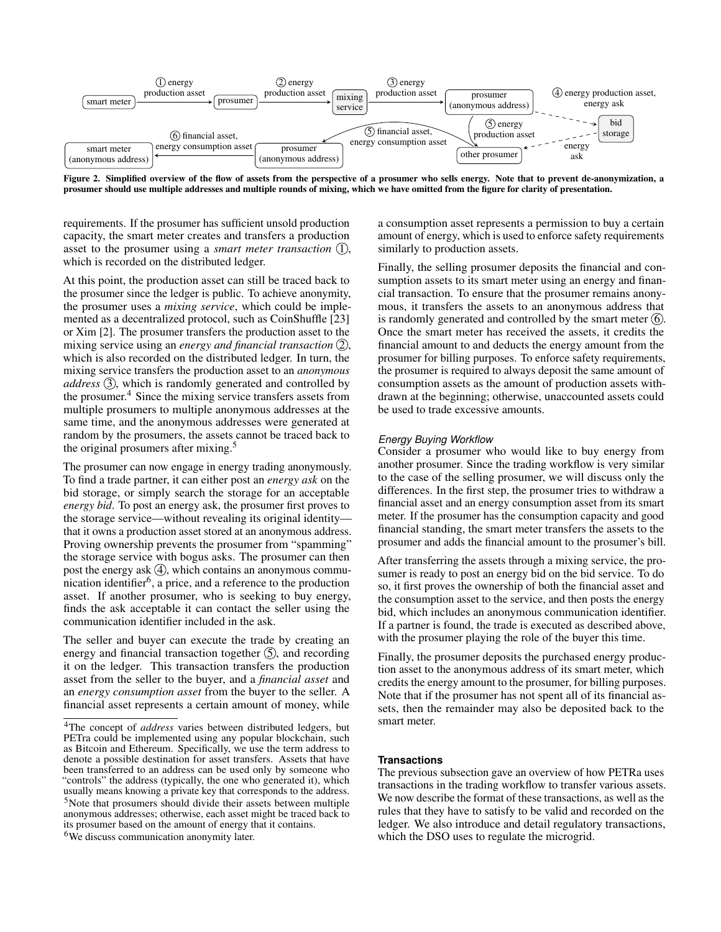

<span id="page-3-0"></span>Figure 2. Simplified overview of the flow of assets from the perspective of a prosumer who sells energy. Note that to prevent de-anonymization, a prosumer should use multiple addresses and multiple rounds of mixing, which we have omitted from the figure for clarity of presentation.

requirements. If the prosumer has sufficient unsold production capacity, the smart meter creates and transfers a production asset to the prosumer using a *smart meter transaction* (1), which is recorded on the distributed ledger.

At this point, the production asset can still be traced back to the prosumer since the ledger is public. To achieve anonymity, the prosumer uses a *mixing service*, which could be implemented as a decentralized protocol, such as CoinShuffle [\[23\]](#page-8-1) or Xim [\[2\]](#page-7-15). The prosumer transfers the production asset to the mixing service using an *energy and financial transaction*  $(2)$ , which is also recorded on the distributed ledger. In turn, the mixing service transfers the production asset to an *anonymous address* (3), which is randomly generated and controlled by the prosumer.<sup>[4](#page-3-1)</sup> Since the mixing service transfers assets from multiple prosumers to multiple anonymous addresses at the same time, and the anonymous addresses were generated at random by the prosumers, the assets cannot be traced back to the original prosumers after mixing.<sup>[5](#page-3-2)</sup>

The prosumer can now engage in energy trading anonymously. To find a trade partner, it can either post an *energy ask* on the bid storage, or simply search the storage for an acceptable *energy bid*. To post an energy ask, the prosumer first proves to the storage service—without revealing its original identity that it owns a production asset stored at an anonymous address. Proving ownership prevents the prosumer from "spamming" the storage service with bogus asks. The prosumer can then post the energy ask  $(4)$ , which contains an anonymous commu-nication identifier<sup>[6](#page-3-3)</sup>, a price, and a reference to the production asset. If another prosumer, who is seeking to buy energy, finds the ask acceptable it can contact the seller using the communication identifier included in the ask.

The seller and buyer can execute the trade by creating an energy and financial transaction together  $\circled{5}$ , and recording it on the ledger. This transaction transfers the production asset from the seller to the buyer, and a *financial asset* and an *energy consumption asset* from the buyer to the seller. A financial asset represents a certain amount of money, while

<span id="page-3-3"></span><span id="page-3-2"></span><sup>6</sup>We discuss communication anonymity later.

a consumption asset represents a permission to buy a certain amount of energy, which is used to enforce safety requirements similarly to production assets.

Finally, the selling prosumer deposits the financial and consumption assets to its smart meter using an energy and financial transaction. To ensure that the prosumer remains anonymous, it transfers the assets to an anonymous address that is randomly generated and controlled by the smart meter  $(6)$ . Once the smart meter has received the assets, it credits the financial amount to and deducts the energy amount from the prosumer for billing purposes. To enforce safety requirements, the prosumer is required to always deposit the same amount of consumption assets as the amount of production assets withdrawn at the beginning; otherwise, unaccounted assets could be used to trade excessive amounts.

## *Energy Buying Workflow*

Consider a prosumer who would like to buy energy from another prosumer. Since the trading workflow is very similar to the case of the selling prosumer, we will discuss only the differences. In the first step, the prosumer tries to withdraw a financial asset and an energy consumption asset from its smart meter. If the prosumer has the consumption capacity and good financial standing, the smart meter transfers the assets to the prosumer and adds the financial amount to the prosumer's bill.

After transferring the assets through a mixing service, the prosumer is ready to post an energy bid on the bid service. To do so, it first proves the ownership of both the financial asset and the consumption asset to the service, and then posts the energy bid, which includes an anonymous communication identifier. If a partner is found, the trade is executed as described above, with the prosumer playing the role of the buyer this time.

Finally, the prosumer deposits the purchased energy production asset to the anonymous address of its smart meter, which credits the energy amount to the prosumer, for billing purposes. Note that if the prosumer has not spent all of its financial assets, then the remainder may also be deposited back to the smart meter.

## **Transactions**

The previous subsection gave an overview of how PETRa uses transactions in the trading workflow to transfer various assets. We now describe the format of these transactions, as well as the rules that they have to satisfy to be valid and recorded on the ledger. We also introduce and detail regulatory transactions, which the DSO uses to regulate the microgrid.

<span id="page-3-1"></span><sup>4</sup>The concept of *address* varies between distributed ledgers, but PETra could be implemented using any popular blockchain, such as Bitcoin and Ethereum. Specifically, we use the term address to denote a possible destination for asset transfers. Assets that have been transferred to an address can be used only by someone who "controls" the address (typically, the one who generated it), which usually means knowing a private key that corresponds to the address. <sup>5</sup>Note that prosumers should divide their assets between multiple anonymous addresses; otherwise, each asset might be traced back to its prosumer based on the amount of energy that it contains.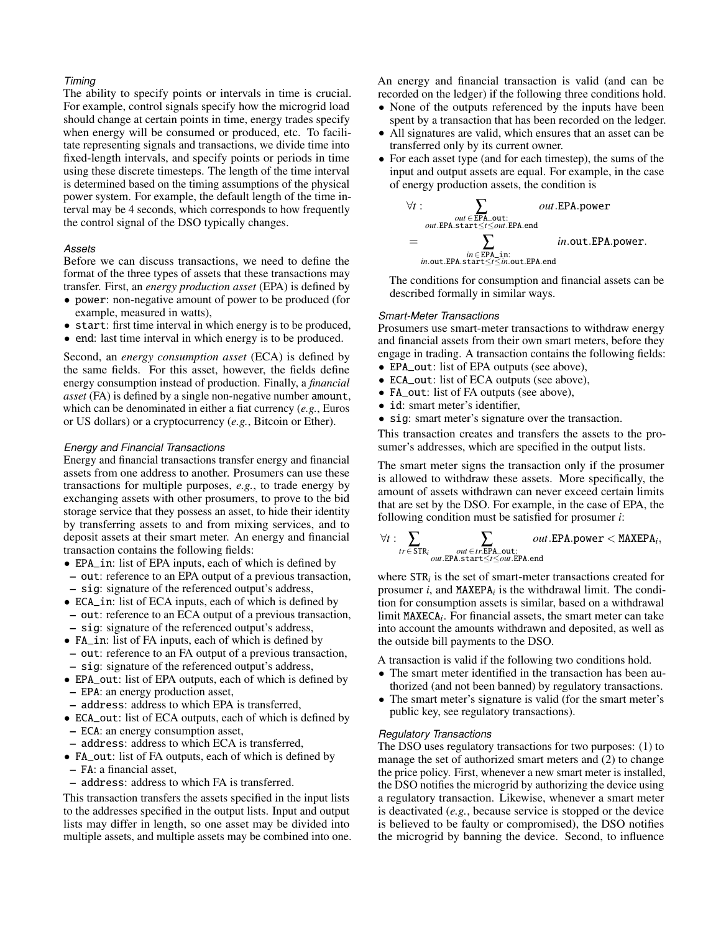## *Timing*

The ability to specify points or intervals in time is crucial. For example, control signals specify how the microgrid load should change at certain points in time, energy trades specify when energy will be consumed or produced, etc. To facilitate representing signals and transactions, we divide time into fixed-length intervals, and specify points or periods in time using these discrete timesteps. The length of the time interval is determined based on the timing assumptions of the physical power system. For example, the default length of the time interval may be 4 seconds, which corresponds to how frequently the control signal of the DSO typically changes.

## *Assets*

Before we can discuss transactions, we need to define the format of the three types of assets that these transactions may transfer. First, an *energy production asset* (EPA) is defined by

- power: non-negative amount of power to be produced (for example, measured in watts),
- start: first time interval in which energy is to be produced,
- end: last time interval in which energy is to be produced.

Second, an *energy consumption asset* (ECA) is defined by the same fields. For this asset, however, the fields define energy consumption instead of production. Finally, a *financial asset* (FA) is defined by a single non-negative number amount, which can be denominated in either a fiat currency (*e.g.*, Euros or US dollars) or a cryptocurrency (*e.g.*, Bitcoin or Ether).

#### *Energy and Financial Transactions*

Energy and financial transactions transfer energy and financial assets from one address to another. Prosumers can use these transactions for multiple purposes, *e.g.*, to trade energy by exchanging assets with other prosumers, to prove to the bid storage service that they possess an asset, to hide their identity by transferring assets to and from mixing services, and to deposit assets at their smart meter. An energy and financial transaction contains the following fields:

- EPA\_in: list of EPA inputs, each of which is defined by
- out: reference to an EPA output of a previous transaction, – sig: signature of the referenced output's address,
- ECA\_in: list of ECA inputs, each of which is defined by – out: reference to an ECA output of a previous transaction, – sig: signature of the referenced output's address,
- 
- FA\_in: list of FA inputs, each of which is defined by – out: reference to an FA output of a previous transaction, – sig: signature of the referenced output's address,
- EPA\_out: list of EPA outputs, each of which is defined by – EPA: an energy production asset,
- address: address to which EPA is transferred,
- ECA\_out: list of ECA outputs, each of which is defined by – ECA: an energy consumption asset,
- address: address to which ECA is transferred,
- FA\_out: list of FA outputs, each of which is defined by
- FA: a financial asset,
- address: address to which FA is transferred.

This transaction transfers the assets specified in the input lists to the addresses specified in the output lists. Input and output lists may differ in length, so one asset may be divided into multiple assets, and multiple assets may be combined into one. An energy and financial transaction is valid (and can be recorded on the ledger) if the following three conditions hold.

- None of the outputs referenced by the inputs have been spent by a transaction that has been recorded on the ledger.
- All signatures are valid, which ensures that an asset can be transferred only by its current owner.
- For each asset type (and for each timestep), the sums of the input and output assets are equal. For example, in the case of energy production assets, the condition is

$$
\forall t: \sum_{\substack{out \in \text{EPA\_out}:\\ \text{out}.\text{EPA.start} \leq t \leq out \text{EPA.end}}} out.\text{EPA.edu} \text{and}
$$
\n
$$
= \sum_{\substack{in \in \text{EPA\_in}:\\ \text{in.out.EPA.start} \leq t \leq in.\text{out.EPA.end}}} in.\text{out.EPA.power.}
$$

The conditions for consumption and financial assets can be described formally in similar ways.

# *Smart-Meter Transactions*

Prosumers use smart-meter transactions to withdraw energy and financial assets from their own smart meters, before they engage in trading. A transaction contains the following fields:

- EPA\_out: list of EPA outputs (see above),
- ECA\_out: list of ECA outputs (see above),
- FA\_out: list of FA outputs (see above),
- id: smart meter's identifier,
- sig: smart meter's signature over the transaction.

This transaction creates and transfers the assets to the prosumer's addresses, which are specified in the output lists.

The smart meter signs the transaction only if the prosumer is allowed to withdraw these assets. More specifically, the amount of assets withdrawn can never exceed certain limits that are set by the DSO. For example, in the case of EPA, the following condition must be satisfied for prosumer *i*:

$$
\forall t: \sum_{tr \in \text{STR}_i} \sum_{\substack{out \in tr \text{ EPA\_out}: \\out \text{ EPA.start} \leq t \leq out \text{ EPA.end}}} out \text{ .EPA.power} < \text{MAXEPA}_i,
$$

where STR*<sup>i</sup>* is the set of smart-meter transactions created for prosumer *i*, and MAXEPA*<sup>i</sup>* is the withdrawal limit. The condition for consumption assets is similar, based on a withdrawal limit MAXECA*<sup>i</sup>* . For financial assets, the smart meter can take into account the amounts withdrawn and deposited, as well as the outside bill payments to the DSO.

A transaction is valid if the following two conditions hold.

- The smart meter identified in the transaction has been authorized (and not been banned) by regulatory transactions.
- The smart meter's signature is valid (for the smart meter's public key, see regulatory transactions).

## *Regulatory Transactions*

The DSO uses regulatory transactions for two purposes: (1) to manage the set of authorized smart meters and (2) to change the price policy. First, whenever a new smart meter is installed, the DSO notifies the microgrid by authorizing the device using a regulatory transaction. Likewise, whenever a smart meter is deactivated (*e.g.*, because service is stopped or the device is believed to be faulty or compromised), the DSO notifies the microgrid by banning the device. Second, to influence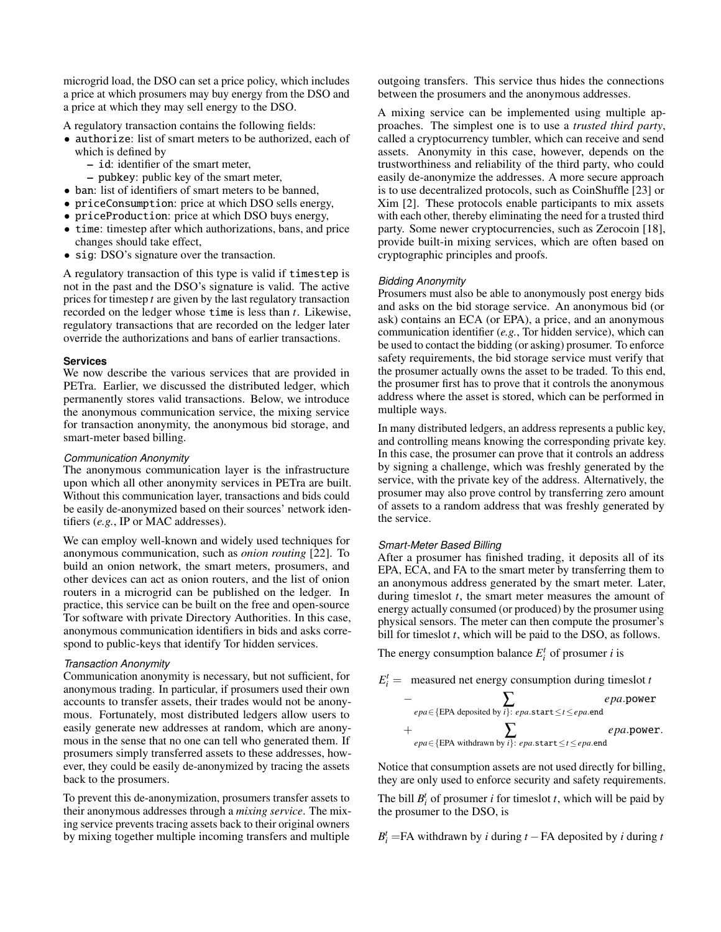microgrid load, the DSO can set a price policy, which includes a price at which prosumers may buy energy from the DSO and a price at which they may sell energy to the DSO.

A regulatory transaction contains the following fields:

- authorize: list of smart meters to be authorized, each of which is defined by
	- id: identifier of the smart meter,
	- pubkey: public key of the smart meter,
- ban: list of identifiers of smart meters to be banned,
- priceConsumption: price at which DSO sells energy,
- priceProduction: price at which DSO buys energy,
- time: timestep after which authorizations, bans, and price changes should take effect,
- sig: DSO's signature over the transaction.

A regulatory transaction of this type is valid if timestep is not in the past and the DSO's signature is valid. The active prices for timestep *t* are given by the last regulatory transaction recorded on the ledger whose time is less than *t*. Likewise, regulatory transactions that are recorded on the ledger later override the authorizations and bans of earlier transactions.

## **Services**

We now describe the various services that are provided in PETra. Earlier, we discussed the distributed ledger, which permanently stores valid transactions. Below, we introduce the anonymous communication service, the mixing service for transaction anonymity, the anonymous bid storage, and smart-meter based billing.

# *Communication Anonymity*

The anonymous communication layer is the infrastructure upon which all other anonymity services in PETra are built. Without this communication layer, transactions and bids could be easily de-anonymized based on their sources' network identifiers (*e.g.*, IP or MAC addresses).

We can employ well-known and widely used techniques for anonymous communication, such as *onion routing* [\[22\]](#page-7-16). To build an onion network, the smart meters, prosumers, and other devices can act as onion routers, and the list of onion routers in a microgrid can be published on the ledger. In practice, this service can be built on the free and open-source Tor software with private Directory Authorities. In this case, anonymous communication identifiers in bids and asks correspond to public-keys that identify Tor hidden services.

# *Transaction Anonymity*

Communication anonymity is necessary, but not sufficient, for anonymous trading. In particular, if prosumers used their own accounts to transfer assets, their trades would not be anonymous. Fortunately, most distributed ledgers allow users to easily generate new addresses at random, which are anonymous in the sense that no one can tell who generated them. If prosumers simply transferred assets to these addresses, however, they could be easily de-anonymized by tracing the assets back to the prosumers.

To prevent this de-anonymization, prosumers transfer assets to their anonymous addresses through a *mixing service*. The mixing service prevents tracing assets back to their original owners by mixing together multiple incoming transfers and multiple

outgoing transfers. This service thus hides the connections between the prosumers and the anonymous addresses.

A mixing service can be implemented using multiple approaches. The simplest one is to use a *trusted third party*, called a cryptocurrency tumbler, which can receive and send assets. Anonymity in this case, however, depends on the trustworthiness and reliability of the third party, who could easily de-anonymize the addresses. A more secure approach is to use decentralized protocols, such as CoinShuffle [\[23\]](#page-8-1) or Xim [\[2\]](#page-7-15). These protocols enable participants to mix assets with each other, thereby eliminating the need for a trusted third party. Some newer cryptocurrencies, such as Zerocoin [\[18\]](#page-7-17), provide built-in mixing services, which are often based on cryptographic principles and proofs.

# *Bidding Anonymity*

Prosumers must also be able to anonymously post energy bids and asks on the bid storage service. An anonymous bid (or ask) contains an ECA (or EPA), a price, and an anonymous communication identifier (*e.g.*, Tor hidden service), which can be used to contact the bidding (or asking) prosumer. To enforce safety requirements, the bid storage service must verify that the prosumer actually owns the asset to be traded. To this end, the prosumer first has to prove that it controls the anonymous address where the asset is stored, which can be performed in multiple ways.

In many distributed ledgers, an address represents a public key, and controlling means knowing the corresponding private key. In this case, the prosumer can prove that it controls an address by signing a challenge, which was freshly generated by the service, with the private key of the address. Alternatively, the prosumer may also prove control by transferring zero amount of assets to a random address that was freshly generated by the service.

# *Smart-Meter Based Billing*

After a prosumer has finished trading, it deposits all of its EPA, ECA, and FA to the smart meter by transferring them to an anonymous address generated by the smart meter. Later, during timeslot *t*, the smart meter measures the amount of energy actually consumed (or produced) by the prosumer using physical sensors. The meter can then compute the prosumer's bill for timeslot *t*, which will be paid to the DSO, as follows.

The energy consumption balance  $E_i^t$  of prosumer *i* is



Notice that consumption assets are not used directly for billing, they are only used to enforce security and safety requirements.

The bill  $B_i^t$  of prosumer *i* for timeslot *t*, which will be paid by the prosumer to the DSO, is

 $B_i^t$  =FA withdrawn by *i* during *t* − FA deposited by *i* during *t*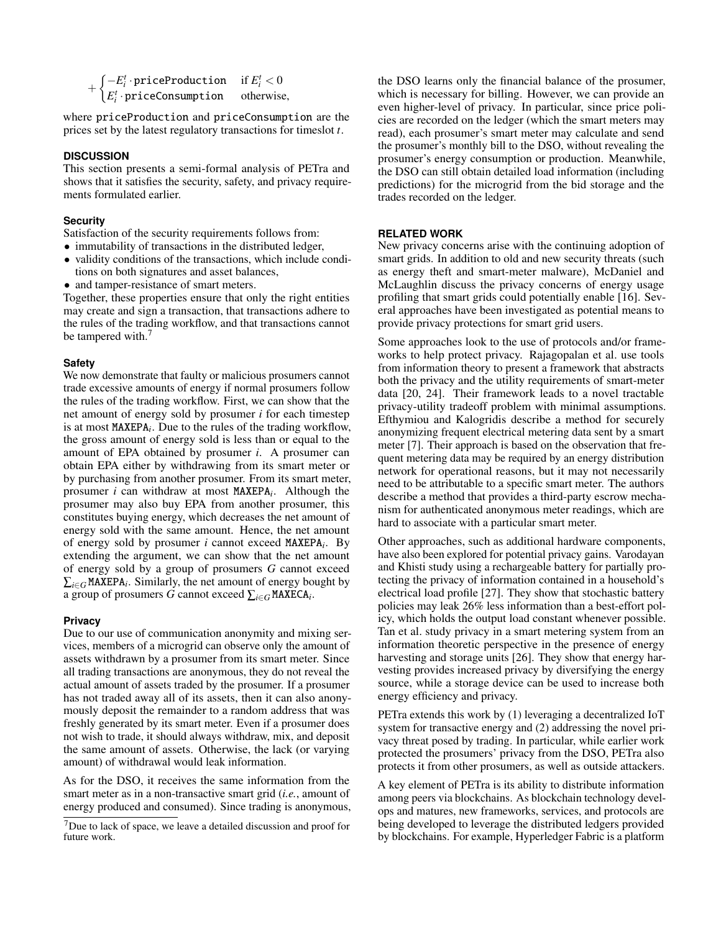```
+\begin{cases} -E_i^t \cdot \text{priceProduction} & \text{if } E_i^t < 0 \\ E_i^t & \text{if } E_i^t \end{cases}E_i^t·priceConsumption otherwise,
```
where priceProduction and priceConsumption are the prices set by the latest regulatory transactions for timeslot *t*.

## **DISCUSSION**

This section presents a semi-formal analysis of PETra and shows that it satisfies the security, safety, and privacy requirements formulated earlier.

## **Security**

Satisfaction of the security requirements follows from:

- immutability of transactions in the distributed ledger,
- validity conditions of the transactions, which include conditions on both signatures and asset balances,
- and tamper-resistance of smart meters.

Together, these properties ensure that only the right entities may create and sign a transaction, that transactions adhere to the rules of the trading workflow, and that transactions cannot be tampered with.<sup>[7](#page-6-0)</sup>

# **Safety**

We now demonstrate that faulty or malicious prosumers cannot trade excessive amounts of energy if normal prosumers follow the rules of the trading workflow. First, we can show that the net amount of energy sold by prosumer *i* for each timestep is at most MAXEPA*<sup>i</sup>* . Due to the rules of the trading workflow, the gross amount of energy sold is less than or equal to the amount of EPA obtained by prosumer *i*. A prosumer can obtain EPA either by withdrawing from its smart meter or by purchasing from another prosumer. From its smart meter, prosumer *i* can withdraw at most MAXEPA*<sup>i</sup>* . Although the prosumer may also buy EPA from another prosumer, this constitutes buying energy, which decreases the net amount of energy sold with the same amount. Hence, the net amount of energy sold by prosumer *i* cannot exceed MAXEPA*<sup>i</sup>* . By extending the argument, we can show that the net amount of energy sold by a group of prosumers *G* cannot exceed  $\sum_{i \in G}$  MAXEPA<sub>*i*</sub>. Similarly, the net amount of energy bought by a group of prosumers *G* cannot exceed ∑*i*∈*<sup>G</sup>* MAXECA*<sup>i</sup>* .

## **Privacy**

Due to our use of communication anonymity and mixing services, members of a microgrid can observe only the amount of assets withdrawn by a prosumer from its smart meter. Since all trading transactions are anonymous, they do not reveal the actual amount of assets traded by the prosumer. If a prosumer has not traded away all of its assets, then it can also anonymously deposit the remainder to a random address that was freshly generated by its smart meter. Even if a prosumer does not wish to trade, it should always withdraw, mix, and deposit the same amount of assets. Otherwise, the lack (or varying amount) of withdrawal would leak information.

As for the DSO, it receives the same information from the smart meter as in a non-transactive smart grid (*i.e.*, amount of energy produced and consumed). Since trading is anonymous,

the DSO learns only the financial balance of the prosumer, which is necessary for billing. However, we can provide an even higher-level of privacy. In particular, since price policies are recorded on the ledger (which the smart meters may read), each prosumer's smart meter may calculate and send the prosumer's monthly bill to the DSO, without revealing the prosumer's energy consumption or production. Meanwhile, the DSO can still obtain detailed load information (including predictions) for the microgrid from the bid storage and the trades recorded on the ledger.

# **RELATED WORK**

New privacy concerns arise with the continuing adoption of smart grids. In addition to old and new security threats (such as energy theft and smart-meter malware), McDaniel and McLaughlin discuss the privacy concerns of energy usage profiling that smart grids could potentially enable [\[16\]](#page-7-18). Several approaches have been investigated as potential means to provide privacy protections for smart grid users.

Some approaches look to the use of protocols and/or frameworks to help protect privacy. Rajagopalan et al. use tools from information theory to present a framework that abstracts both the privacy and the utility requirements of smart-meter data [\[20,](#page-7-19) [24\]](#page-8-2). Their framework leads to a novel tractable privacy-utility tradeoff problem with minimal assumptions. Efthymiou and Kalogridis describe a method for securely anonymizing frequent electrical metering data sent by a smart meter [\[7\]](#page-7-20). Their approach is based on the observation that frequent metering data may be required by an energy distribution network for operational reasons, but it may not necessarily need to be attributable to a specific smart meter. The authors describe a method that provides a third-party escrow mechanism for authenticated anonymous meter readings, which are hard to associate with a particular smart meter.

Other approaches, such as additional hardware components, have also been explored for potential privacy gains. Varodayan and Khisti study using a rechargeable battery for partially protecting the privacy of information contained in a household's electrical load profile [\[27\]](#page-8-3). They show that stochastic battery policies may leak 26% less information than a best-effort policy, which holds the output load constant whenever possible. Tan et al. study privacy in a smart metering system from an information theoretic perspective in the presence of energy harvesting and storage units [\[26\]](#page-8-4). They show that energy harvesting provides increased privacy by diversifying the energy source, while a storage device can be used to increase both energy efficiency and privacy.

PETra extends this work by (1) leveraging a decentralized IoT system for transactive energy and (2) addressing the novel privacy threat posed by trading. In particular, while earlier work protected the prosumers' privacy from the DSO, PETra also protects it from other prosumers, as well as outside attackers.

A key element of PETra is its ability to distribute information among peers via blockchains. As blockchain technology develops and matures, new frameworks, services, and protocols are being developed to leverage the distributed ledgers provided by blockchains. For example, Hyperledger Fabric is a platform

<span id="page-6-0"></span> $<sup>7</sup>$ Due to lack of space, we leave a detailed discussion and proof for</sup> future work.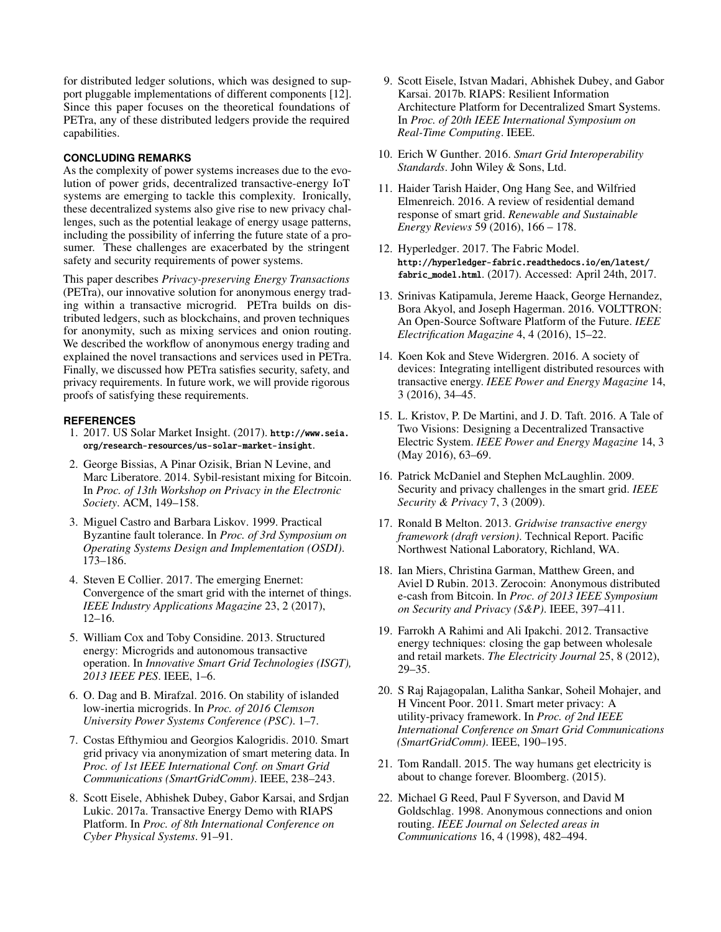for distributed ledger solutions, which was designed to support pluggable implementations of different components [\[12\]](#page-7-21). Since this paper focuses on the theoretical foundations of PETra, any of these distributed ledgers provide the required capabilities.

# **CONCLUDING REMARKS**

As the complexity of power systems increases due to the evolution of power grids, decentralized transactive-energy IoT systems are emerging to tackle this complexity. Ironically, these decentralized systems also give rise to new privacy challenges, such as the potential leakage of energy usage patterns, including the possibility of inferring the future state of a prosumer. These challenges are exacerbated by the stringent safety and security requirements of power systems.

This paper describes *Privacy-preserving Energy Transactions* (PETra), our innovative solution for anonymous energy trading within a transactive microgrid. PETra builds on distributed ledgers, such as blockchains, and proven techniques for anonymity, such as mixing services and onion routing. We described the workflow of anonymous energy trading and explained the novel transactions and services used in PETra. Finally, we discussed how PETra satisfies security, safety, and privacy requirements. In future work, we will provide rigorous proofs of satisfying these requirements.

# <span id="page-7-0"></span>**REFERENCES**

- 1. 2017. US Solar Market Insight. (2017). [http://www.seia.](http://www.seia.org/research-resources/us-solar-market-insight) [org/research-resources/us-solar-market-insight](http://www.seia.org/research-resources/us-solar-market-insight).
- <span id="page-7-15"></span>2. George Bissias, A Pinar Ozisik, Brian N Levine, and Marc Liberatore. 2014. Sybil-resistant mixing for Bitcoin. In *Proc. of 13th Workshop on Privacy in the Electronic Society*. ACM, 149–158.
- <span id="page-7-14"></span>3. Miguel Castro and Barbara Liskov. 1999. Practical Byzantine fault tolerance. In *Proc. of 3rd Symposium on Operating Systems Design and Implementation (OSDI)*. 173–186.
- <span id="page-7-9"></span>4. Steven E Collier. 2017. The emerging Enernet: Convergence of the smart grid with the internet of things. *IEEE Industry Applications Magazine* 23, 2 (2017), 12–16.
- <span id="page-7-5"></span>5. William Cox and Toby Considine. 2013. Structured energy: Microgrids and autonomous transactive operation. In *Innovative Smart Grid Technologies (ISGT), 2013 IEEE PES*. IEEE, 1–6.
- <span id="page-7-7"></span>6. O. Dag and B. Mirafzal. 2016. On stability of islanded low-inertia microgrids. In *Proc. of 2016 Clemson University Power Systems Conference (PSC)*. 1–7.
- <span id="page-7-20"></span>7. Costas Efthymiou and Georgios Kalogridis. 2010. Smart grid privacy via anonymization of smart metering data. In *Proc. of 1st IEEE International Conf. on Smart Grid Communications (SmartGridComm)*. IEEE, 238–243.
- <span id="page-7-13"></span>8. Scott Eisele, Abhishek Dubey, Gabor Karsai, and Srdjan Lukic. 2017a. Transactive Energy Demo with RIAPS Platform. In *Proc. of 8th International Conference on Cyber Physical Systems*. 91–91.
- <span id="page-7-12"></span>9. Scott Eisele, Istvan Madari, Abhishek Dubey, and Gabor Karsai. 2017b. RIAPS: Resilient Information Architecture Platform for Decentralized Smart Systems. In *Proc. of 20th IEEE International Symposium on Real-Time Computing*. IEEE.
- <span id="page-7-11"></span>10. Erich W Gunther. 2016. *Smart Grid Interoperability Standards*. John Wiley & Sons, Ltd.
- <span id="page-7-8"></span>11. Haider Tarish Haider, Ong Hang See, and Wilfried Elmenreich. 2016. A review of residential demand response of smart grid. *Renewable and Sustainable Energy Reviews* 59 (2016), 166 – 178.
- <span id="page-7-21"></span>12. Hyperledger. 2017. The Fabric Model. [http://hyperledger-fabric.readthedocs.io/en/latest/](http://hyperledger-fabric.readthedocs.io/en/latest/fabric_model.html) [fabric\\_model.html](http://hyperledger-fabric.readthedocs.io/en/latest/fabric_model.html). (2017). Accessed: April 24th, 2017.
- <span id="page-7-10"></span>13. Srinivas Katipamula, Jereme Haack, George Hernandez, Bora Akyol, and Joseph Hagerman. 2016. VOLTTRON: An Open-Source Software Platform of the Future. *IEEE Electrification Magazine* 4, 4 (2016), 15–22.
- <span id="page-7-4"></span>14. Koen Kok and Steve Widergren. 2016. A society of devices: Integrating intelligent distributed resources with transactive energy. *IEEE Power and Energy Magazine* 14, 3 (2016), 34–45.
- <span id="page-7-2"></span>15. L. Kristov, P. De Martini, and J. D. Taft. 2016. A Tale of Two Visions: Designing a Decentralized Transactive Electric System. *IEEE Power and Energy Magazine* 14, 3 (May 2016), 63–69.
- <span id="page-7-18"></span>16. Patrick McDaniel and Stephen McLaughlin. 2009. Security and privacy challenges in the smart grid. *IEEE Security & Privacy* 7, 3 (2009).
- <span id="page-7-6"></span>17. Ronald B Melton. 2013. *Gridwise transactive energy framework (draft version)*. Technical Report. Pacific Northwest National Laboratory, Richland, WA.
- <span id="page-7-17"></span>18. Ian Miers, Christina Garman, Matthew Green, and Aviel D Rubin. 2013. Zerocoin: Anonymous distributed e-cash from Bitcoin. In *Proc. of 2013 IEEE Symposium on Security and Privacy (S&P)*. IEEE, 397–411.
- <span id="page-7-3"></span>19. Farrokh A Rahimi and Ali Ipakchi. 2012. Transactive energy techniques: closing the gap between wholesale and retail markets. *The Electricity Journal* 25, 8 (2012), 29–35.
- <span id="page-7-19"></span>20. S Raj Rajagopalan, Lalitha Sankar, Soheil Mohajer, and H Vincent Poor. 2011. Smart meter privacy: A utility-privacy framework. In *Proc. of 2nd IEEE International Conference on Smart Grid Communications (SmartGridComm)*. IEEE, 190–195.
- <span id="page-7-1"></span>21. Tom Randall. 2015. The way humans get electricity is about to change forever. Bloomberg. (2015).
- <span id="page-7-16"></span>22. Michael G Reed, Paul F Syverson, and David M Goldschlag. 1998. Anonymous connections and onion routing. *IEEE Journal on Selected areas in Communications* 16, 4 (1998), 482–494.